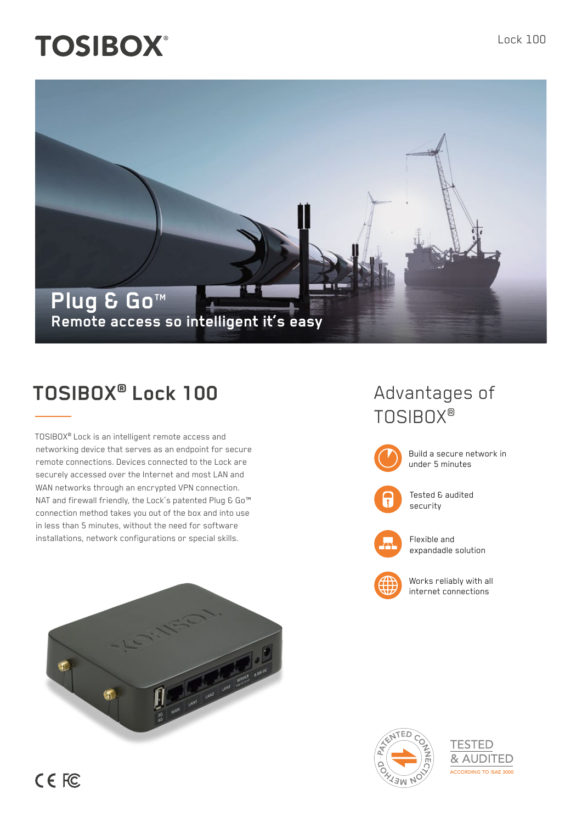# **TOSIBOX®**



## **TOSIBOX® Lock 100**

TOSIBOX® Lock is an intelligent remote access and networking device that serves as an endpoint for secure remote connections. Devices connected to the Lock are securely accessed over the Internet and most LAN and WAN networks through an encrypted VPN connection. NAT and firewall friendly, the Lock's patented Plug & Go<sup>™</sup> connection method takes you out of the box and into use in less than 5 minutes, without the need for software installations, network configurations or special skills.



### Advantages of TOSIBOX®



Build a secure network in under 5 minutes



Tested & audited security



Flexible and expandadle solution



Works reliably with all internet connections